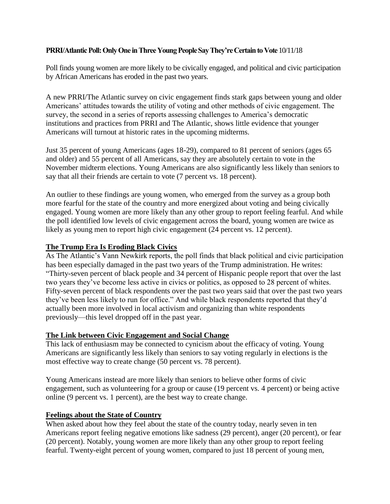# **PRRI/Atlantic Poll: Only One in Three Young People Say They're Certain to Vote** 10/11/18

Poll finds young women are more likely to be civically engaged, and political and civic participation by African Americans has eroded in the past two years.

A new PRRI/The Atlantic survey on civic engagement finds stark gaps between young and older Americans' attitudes towards the utility of voting and other methods of civic engagement. The survey, the second in a series of reports assessing challenges to America's democratic institutions and practices from PRRI and The Atlantic, shows little evidence that younger Americans will turnout at historic rates in the upcoming midterms.

Just 35 percent of young Americans (ages 18-29), compared to 81 percent of seniors (ages 65 and older) and 55 percent of all Americans, say they are absolutely certain to vote in the November midterm elections. Young Americans are also significantly less likely than seniors to say that all their friends are certain to vote (7 percent vs. 18 percent).

An outlier to these findings are young women, who emerged from the survey as a group both more fearful for the state of the country and more energized about voting and being civically engaged. Young women are more likely than any other group to report feeling fearful. And while the poll identified low levels of civic engagement across the board, young women are twice as likely as young men to report high civic engagement (24 percent vs. 12 percent).

# **The Trump Era Is Eroding Black Civics**

As The Atlantic's Vann Newkirk reports, the poll finds that black political and civic participation has been especially damaged in the past two years of the Trump administration. He writes: "Thirty-seven percent of black people and 34 percent of Hispanic people report that over the last two years they've become less active in civics or politics, as opposed to 28 percent of whites. Fifty-seven percent of black respondents over the past two years said that over the past two years they've been less likely to run for office." And while black respondents reported that they'd actually been more involved in local activism and organizing than white respondents previously—this level dropped off in the past year.

### **The Link between Civic Engagement and Social Change**

This lack of enthusiasm may be connected to cynicism about the efficacy of voting. Young Americans are significantly less likely than seniors to say voting regularly in elections is the most effective way to create change (50 percent vs. 78 percent).

Young Americans instead are more likely than seniors to believe other forms of civic engagement, such as volunteering for a group or cause (19 percent vs. 4 percent) or being active online (9 percent vs. 1 percent), are the best way to create change.

### **Feelings about the State of Country**

When asked about how they feel about the state of the country today, nearly seven in ten Americans report feeling negative emotions like sadness (29 percent), anger (20 percent), or fear (20 percent). Notably, young women are more likely than any other group to report feeling fearful. Twenty-eight percent of young women, compared to just 18 percent of young men,